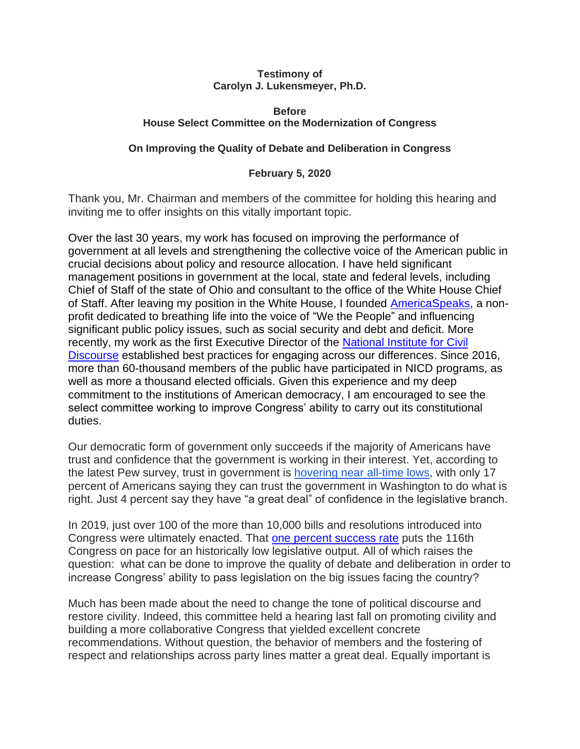#### **Testimony of Carolyn J. Lukensmeyer, Ph.D.**

#### **Before House Select Committee on the Modernization of Congress**

#### **On Improving the Quality of Debate and Deliberation in Congress**

#### **February 5, 2020**

Thank you, Mr. Chairman and members of the committee for holding this hearing and inviting me to offer insights on this vitally important topic.

Over the last 30 years, my work has focused on improving the performance of government at all levels and strengthening the collective voice of the American public in crucial decisions about policy and resource allocation. I have held significant management positions in government at the local, state and federal levels, including Chief of Staff of the state of Ohio and consultant to the office of the White House Chief of Staff. After leaving my position in the White House, I founded [AmericaSpeaks,](http://www.americaspeaks.org/) a nonprofit dedicated to breathing life into the voice of "We the People" and influencing significant public policy issues, such as social security and debt and deficit. More recently, my work as the first Executive Director of the [National Institute for Civil](https://nicd.arizona.edu/)  [Discourse](https://nicd.arizona.edu/) established best practices for engaging across our differences. Since 2016, more than 60-thousand members of the public have participated in NICD programs, as well as more a thousand elected officials. Given this experience and my deep commitment to the institutions of American democracy, I am encouraged to see the select committee working to improve Congress' ability to carry out its constitutional duties.

Our democratic form of government only succeeds if the majority of Americans have trust and confidence that the government is working in their interest. Yet, according to the latest Pew survey, trust in government is [hovering near all-time lows,](https://www.people-press.org/2019/04/11/public-trust-in-government-1958-2019/) with only 17 percent of Americans saying they can trust the government in Washington to do what is right. Just 4 percent say they have "a great deal" of confidence in the legislative branch.

In 2019, just over 100 of the more than 10,000 bills and resolutions introduced into Congress were ultimately enacted. That [one percent success rate](https://www.govtrack.us/congress/bills/statistics) puts the 116th Congress on pace for an historically low legislative output. All of which raises the question: what can be done to improve the quality of debate and deliberation in order to increase Congress' ability to pass legislation on the big issues facing the country?

Much has been made about the need to change the tone of political discourse and restore civility. Indeed, this committee held a hearing last fall on promoting civility and building a more collaborative Congress that yielded excellent concrete recommendations. Without question, the behavior of members and the fostering of respect and relationships across party lines matter a great deal. Equally important is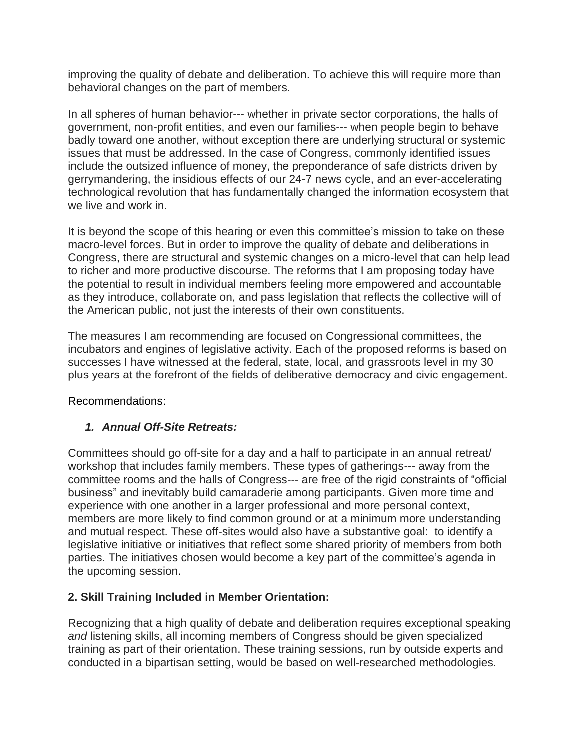improving the quality of debate and deliberation. To achieve this will require more than behavioral changes on the part of members.

In all spheres of human behavior--- whether in private sector corporations, the halls of government, non-profit entities, and even our families--- when people begin to behave badly toward one another, without exception there are underlying structural or systemic issues that must be addressed. In the case of Congress, commonly identified issues include the outsized influence of money, the preponderance of safe districts driven by gerrymandering, the insidious effects of our 24-7 news cycle, and an ever-accelerating technological revolution that has fundamentally changed the information ecosystem that we live and work in.

It is beyond the scope of this hearing or even this committee's mission to take on these macro-level forces. But in order to improve the quality of debate and deliberations in Congress, there are structural and systemic changes on a micro-level that can help lead to richer and more productive discourse. The reforms that I am proposing today have the potential to result in individual members feeling more empowered and accountable as they introduce, collaborate on, and pass legislation that reflects the collective will of the American public, not just the interests of their own constituents.

The measures I am recommending are focused on Congressional committees, the incubators and engines of legislative activity. Each of the proposed reforms is based on successes I have witnessed at the federal, state, local, and grassroots level in my 30 plus years at the forefront of the fields of deliberative democracy and civic engagement.

Recommendations:

# *1. Annual Off-Site Retreats:*

Committees should go off-site for a day and a half to participate in an annual retreat/ workshop that includes family members. These types of gatherings--- away from the committee rooms and the halls of Congress--- are free of the rigid constraints of "official business" and inevitably build camaraderie among participants. Given more time and experience with one another in a larger professional and more personal context, members are more likely to find common ground or at a minimum more understanding and mutual respect. These off-sites would also have a substantive goal: to identify a legislative initiative or initiatives that reflect some shared priority of members from both parties. The initiatives chosen would become a key part of the committee's agenda in the upcoming session.

## **2. Skill Training Included in Member Orientation:**

Recognizing that a high quality of debate and deliberation requires exceptional speaking *and* listening skills, all incoming members of Congress should be given specialized training as part of their orientation. These training sessions, run by outside experts and conducted in a bipartisan setting, would be based on well-researched methodologies.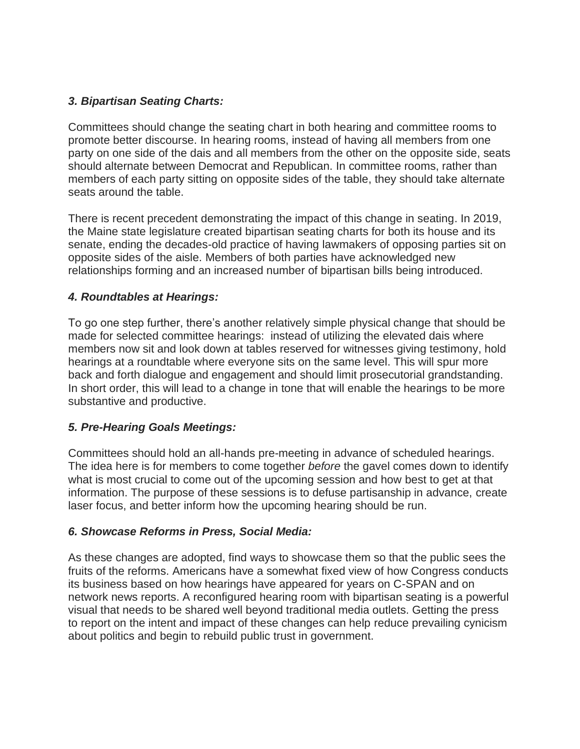## *3. Bipartisan Seating Charts:*

Committees should change the seating chart in both hearing and committee rooms to promote better discourse. In hearing rooms, instead of having all members from one party on one side of the dais and all members from the other on the opposite side, seats should alternate between Democrat and Republican. In committee rooms, rather than members of each party sitting on opposite sides of the table, they should take alternate seats around the table.

There is recent precedent demonstrating the impact of this change in seating. In 2019, the Maine state legislature created bipartisan seating charts for both its house and its senate, ending the decades-old practice of having lawmakers of opposing parties sit on opposite sides of the aisle. Members of both parties have acknowledged new relationships forming and an increased number of bipartisan bills being introduced.

## *4. Roundtables at Hearings:*

To go one step further, there's another relatively simple physical change that should be made for selected committee hearings: instead of utilizing the elevated dais where members now sit and look down at tables reserved for witnesses giving testimony, hold hearings at a roundtable where everyone sits on the same level. This will spur more back and forth dialogue and engagement and should limit prosecutorial grandstanding. In short order, this will lead to a change in tone that will enable the hearings to be more substantive and productive.

## *5. Pre-Hearing Goals Meetings:*

Committees should hold an all-hands pre-meeting in advance of scheduled hearings. The idea here is for members to come together *before* the gavel comes down to identify what is most crucial to come out of the upcoming session and how best to get at that information. The purpose of these sessions is to defuse partisanship in advance, create laser focus, and better inform how the upcoming hearing should be run.

## *6. Showcase Reforms in Press, Social Media:*

As these changes are adopted, find ways to showcase them so that the public sees the fruits of the reforms. Americans have a somewhat fixed view of how Congress conducts its business based on how hearings have appeared for years on C-SPAN and on network news reports. A reconfigured hearing room with bipartisan seating is a powerful visual that needs to be shared well beyond traditional media outlets. Getting the press to report on the intent and impact of these changes can help reduce prevailing cynicism about politics and begin to rebuild public trust in government.